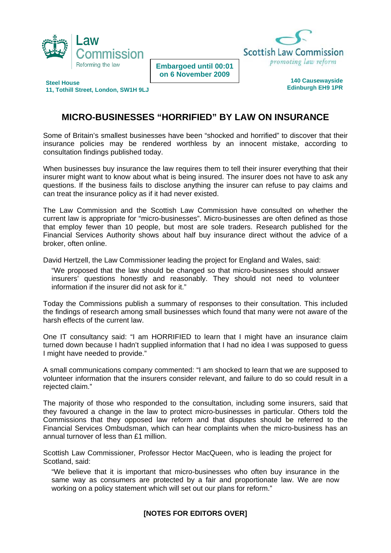



**Embargoed until 00:01 on 6 November 2009** 

**Steel House 11, Tothill Street, London, SW1H 9LJ** 

## **140 Causewayside Edinburgh EH9 1PR**

## **MICRO-BUSINESSES "HORRIFIED" BY LAW ON INSURANCE**

Some of Britain's smallest businesses have been "shocked and horrified" to discover that their insurance policies may be rendered worthless by an innocent mistake, according to consultation findings published today.

When businesses buy insurance the law requires them to tell their insurer everything that their insurer might want to know about what is being insured. The insurer does not have to ask any questions. If the business fails to disclose anything the insurer can refuse to pay claims and can treat the insurance policy as if it had never existed.

The Law Commission and the Scottish Law Commission have consulted on whether the current law is appropriate for "micro-businesses". Micro-businesses are often defined as those that employ fewer than 10 people, but most are sole traders. Research published for the Financial Services Authority shows about half buy insurance direct without the advice of a broker, often online.

David Hertzell, the Law Commissioner leading the project for England and Wales, said:

"We proposed that the law should be changed so that micro-businesses should answer insurers' questions honestly and reasonably. They should not need to volunteer information if the insurer did not ask for it."

Today the Commissions publish a summary of responses to their consultation. This included the findings of research among small businesses which found that many were not aware of the harsh effects of the current law.

One IT consultancy said: "I am HORRIFIED to learn that I might have an insurance claim turned down because I hadn't supplied information that I had no idea I was supposed to guess I might have needed to provide."

A small communications company commented: "I am shocked to learn that we are supposed to volunteer information that the insurers consider relevant, and failure to do so could result in a rejected claim."

The majority of those who responded to the consultation, including some insurers, said that they favoured a change in the law to protect micro-businesses in particular. Others told the Commissions that they opposed law reform and that disputes should be referred to the Financial Services Ombudsman, which can hear complaints when the micro-business has an annual turnover of less than £1 million.

Scottish Law Commissioner, Professor Hector MacQueen, who is leading the project for Scotland, said:

"We believe that it is important that micro-businesses who often buy insurance in the same way as consumers are protected by a fair and proportionate law. We are now working on a policy statement which will set out our plans for reform."

## **[NOTES FOR EDITORS OVER]**